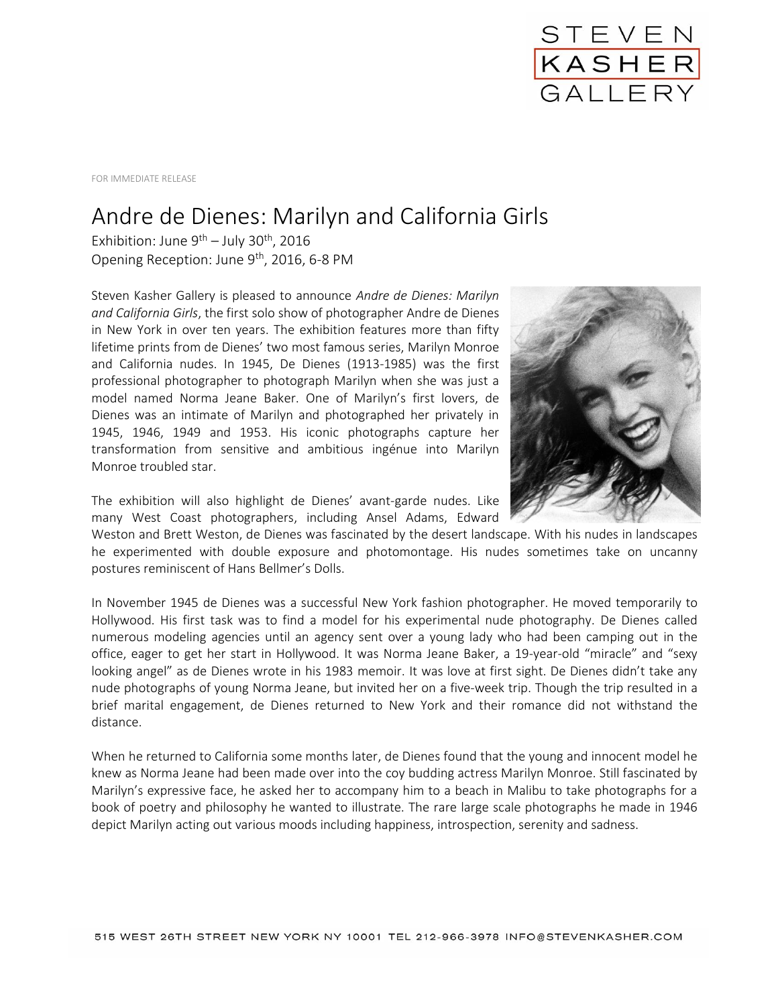

FOR IMMEDIATE RELEASE

## Andre de Dienes: Marilyn and California Girls

Exhibition: June 9<sup>th</sup> – July 30<sup>th</sup>, 2016 Opening Reception: June 9<sup>th</sup>, 2016, 6-8 PM

Steven Kasher Gallery is pleased to announce *Andre de Dienes: Marilyn and California Girls*, the first solo show of photographer Andre de Dienes in New York in over ten years. The exhibition features more than fifty lifetime prints from de Dienes' two most famous series, Marilyn Monroe and California nudes. In 1945, De Dienes (1913-1985) was the first professional photographer to photograph Marilyn when she was just a model named Norma Jeane Baker. One of Marilyn's first lovers, de Dienes was an intimate of Marilyn and photographed her privately in 1945, 1946, 1949 and 1953. His iconic photographs capture her transformation from sensitive and ambitious ingénue into Marilyn Monroe troubled star.



The exhibition will also highlight de Dienes' avant-garde nudes. Like many West Coast photographers, including Ansel Adams, Edward

Weston and Brett Weston, de Dienes was fascinated by the desert landscape. With his nudes in landscapes he experimented with double exposure and photomontage. His nudes sometimes take on uncanny postures reminiscent of Hans Bellmer's Dolls.

In November 1945 de Dienes was a successful New York fashion photographer. He moved temporarily to Hollywood. His first task was to find a model for his experimental nude photography. De Dienes called numerous modeling agencies until an agency sent over a young lady who had been camping out in the office, eager to get her start in Hollywood. It was Norma Jeane Baker, a 19-year-old "miracle" and "sexy looking angel" as de Dienes wrote in his 1983 memoir. It was love at first sight. De Dienes didn't take any nude photographs of young Norma Jeane, but invited her on a five-week trip. Though the trip resulted in a brief marital engagement, de Dienes returned to New York and their romance did not withstand the distance.

When he returned to California some months later, de Dienes found that the young and innocent model he knew as Norma Jeane had been made over into the coy budding actress Marilyn Monroe. Still fascinated by Marilyn's expressive face, he asked her to accompany him to a beach in Malibu to take photographs for a book of poetry and philosophy he wanted to illustrate. The rare large scale photographs he made in 1946 depict Marilyn acting out various moods including happiness, introspection, serenity and sadness.